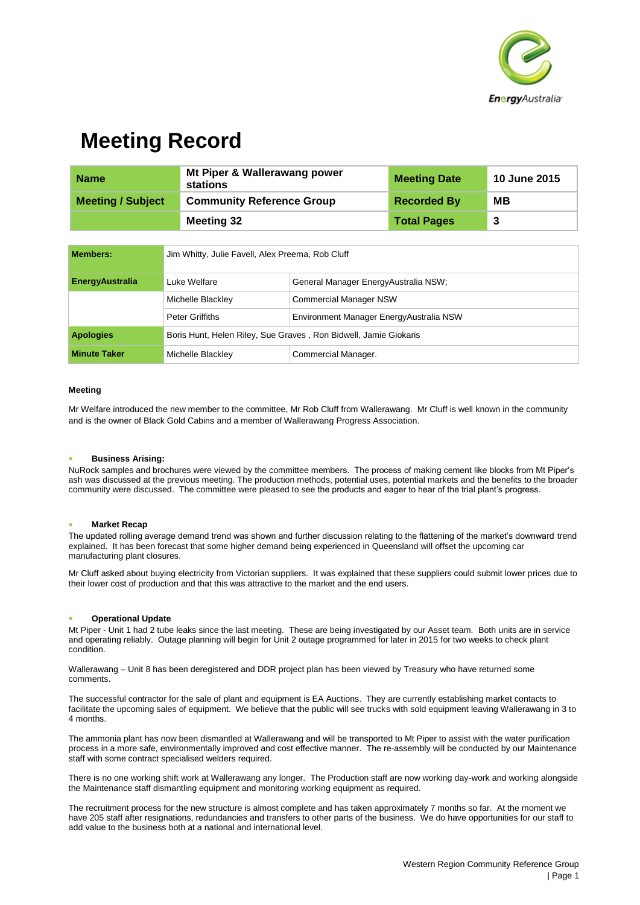

## **Meeting Record**

| <b>Name</b>              | Mt Piper & Wallerawang power<br>stations | <b>Meeting Date</b> | <b>10 June 2015</b> |
|--------------------------|------------------------------------------|---------------------|---------------------|
| <b>Meeting / Subject</b> | <b>Community Reference Group</b>         | <b>Recorded By</b>  | MВ                  |
|                          | Meeting 32                               | <b>Total Pages</b>  | -3                  |

| <b>Members:</b>        | Jim Whitty, Julie Favell, Alex Preema, Rob Cluff                 |                                         |  |
|------------------------|------------------------------------------------------------------|-----------------------------------------|--|
| <b>EnergyAustralia</b> | Luke Welfare                                                     | General Manager EnergyAustralia NSW;    |  |
|                        | Michelle Blackley                                                | <b>Commercial Manager NSW</b>           |  |
|                        | Peter Griffiths                                                  | Environment Manager EnergyAustralia NSW |  |
| <b>Apologies</b>       | Boris Hunt, Helen Riley, Sue Graves, Ron Bidwell, Jamie Giokaris |                                         |  |
| <b>Minute Taker</b>    | Michelle Blackley                                                | Commercial Manager.                     |  |

#### **Meeting**

Mr Welfare introduced the new member to the committee, Mr Rob Cluff from Wallerawang. Mr Cluff is well known in the community and is the owner of Black Gold Cabins and a member of Wallerawang Progress Association.

#### **Business Arising:**

NuRock samples and brochures were viewed by the committee members. The process of making cement like blocks from Mt Piper's ash was discussed at the previous meeting. The production methods, potential uses, potential markets and the benefits to the broader community were discussed. The committee were pleased to see the products and eager to hear of the trial plant's progress.

#### **Market Recap**

The updated rolling average demand trend was shown and further discussion relating to the flattening of the market's downward trend explained. It has been forecast that some higher demand being experienced in Queensland will offset the upcoming car manufacturing plant closures.

Mr Cluff asked about buying electricity from Victorian suppliers. It was explained that these suppliers could submit lower prices due to their lower cost of production and that this was attractive to the market and the end users.

#### **Operational Update**

Mt Piper - Unit 1 had 2 tube leaks since the last meeting. These are being investigated by our Asset team. Both units are in service and operating reliably. Outage planning will begin for Unit 2 outage programmed for later in 2015 for two weeks to check plant condition.

Wallerawang – Unit 8 has been deregistered and DDR project plan has been viewed by Treasury who have returned some comments.

The successful contractor for the sale of plant and equipment is EA Auctions. They are currently establishing market contacts to facilitate the upcoming sales of equipment. We believe that the public will see trucks with sold equipment leaving Wallerawang in 3 to 4 months.

The ammonia plant has now been dismantled at Wallerawang and will be transported to Mt Piper to assist with the water purification process in a more safe, environmentally improved and cost effective manner. The re-assembly will be conducted by our Maintenance staff with some contract specialised welders required.

There is no one working shift work at Wallerawang any longer. The Production staff are now working day-work and working alongside the Maintenance staff dismantling equipment and monitoring working equipment as required.

The recruitment process for the new structure is almost complete and has taken approximately 7 months so far. At the moment we have 205 staff after resignations, redundancies and transfers to other parts of the business. We do have opportunities for our staff to add value to the business both at a national and international level.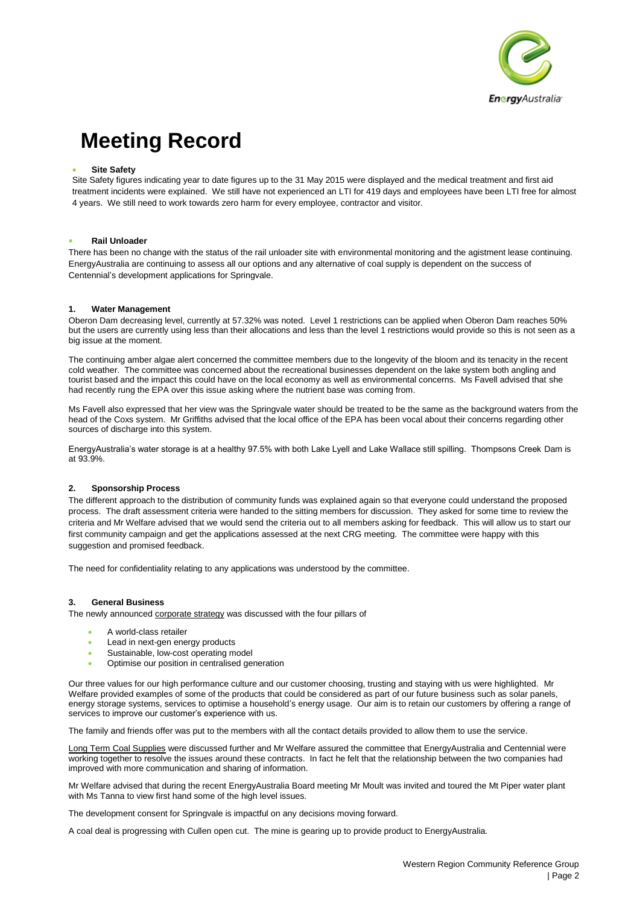

# **Meeting Record**

### **Site Safety**

Site Safety figures indicating year to date figures up to the 31 May 2015 were displayed and the medical treatment and first aid treatment incidents were explained. We still have not experienced an LTI for 419 days and employees have been LTI free for almost 4 years. We still need to work towards zero harm for every employee, contractor and visitor.

#### **Rail Unloader**

There has been no change with the status of the rail unloader site with environmental monitoring and the agistment lease continuing. EnergyAustralia are continuing to assess all our options and any alternative of coal supply is dependent on the success of Centennial's development applications for Springvale.

### **1. Water Management**

Oberon Dam decreasing level, currently at 57.32% was noted. Level 1 restrictions can be applied when Oberon Dam reaches 50% but the users are currently using less than their allocations and less than the level 1 restrictions would provide so this is not seen as a big issue at the moment.

The continuing amber algae alert concerned the committee members due to the longevity of the bloom and its tenacity in the recent cold weather. The committee was concerned about the recreational businesses dependent on the lake system both angling and tourist based and the impact this could have on the local economy as well as environmental concerns. Ms Favell advised that she had recently rung the EPA over this issue asking where the nutrient base was coming from.

Ms Favell also expressed that her view was the Springvale water should be treated to be the same as the background waters from the head of the Coxs system. Mr Griffiths advised that the local office of the EPA has been vocal about their concerns regarding other sources of discharge into this system.

EnergyAustralia's water storage is at a healthy 97.5% with both Lake Lyell and Lake Wallace still spilling. Thompsons Creek Dam is at 93.9%.

## **2. Sponsorship Process**

The different approach to the distribution of community funds was explained again so that everyone could understand the proposed process. The draft assessment criteria were handed to the sitting members for discussion. They asked for some time to review the criteria and Mr Welfare advised that we would send the criteria out to all members asking for feedback. This will allow us to start our first community campaign and get the applications assessed at the next CRG meeting. The committee were happy with this suggestion and promised feedback.

The need for confidentiality relating to any applications was understood by the committee.

#### **3. General Business**

The newly announced corporate strategy was discussed with the four pillars of

- A world-class retailer
- Lead in next-gen energy products
- Sustainable, low-cost operating model
- Optimise our position in centralised generation

Our three values for our high performance culture and our customer choosing, trusting and staying with us were highlighted. Mr Welfare provided examples of some of the products that could be considered as part of our future business such as solar panels, energy storage systems, services to optimise a household's energy usage. Our aim is to retain our customers by offering a range of services to improve our customer's experience with us.

The family and friends offer was put to the members with all the contact details provided to allow them to use the service.

Long Term Coal Supplies were discussed further and Mr Welfare assured the committee that EnergyAustralia and Centennial were working together to resolve the issues around these contracts. In fact he felt that the relationship between the two companies had improved with more communication and sharing of information.

Mr Welfare advised that during the recent EnergyAustralia Board meeting Mr Moult was invited and toured the Mt Piper water plant with Ms Tanna to view first hand some of the high level issues.

The development consent for Springvale is impactful on any decisions moving forward.

A coal deal is progressing with Cullen open cut. The mine is gearing up to provide product to EnergyAustralia.